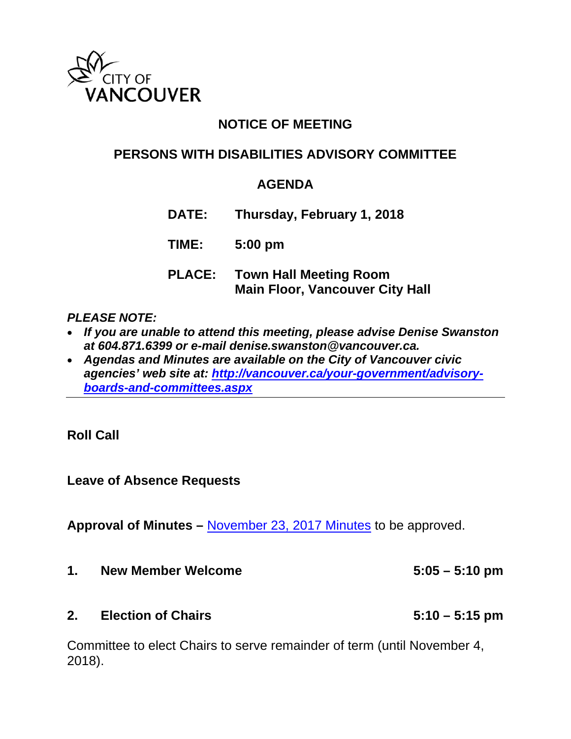

# **NOTICE OF MEETING**

# **PERSONS WITH DISABILITIES ADVISORY COMMITTEE**

## **AGENDA**

**DATE: Thursday, February 1, 2018**

**TIME: 5:00 pm**

**PLACE: Town Hall Meeting Room Main Floor, Vancouver City Hall** 

#### *PLEASE NOTE:*

- *If you are unable to attend this meeting, please advise Denise Swanston at 604.871.6399 or e-mail denise.swanston@vancouver.ca.*
- *Agendas and Minutes are available on the City of Vancouver civic agencies' web site at: http://vancouver.ca/your-government/advisoryboards-and-committees.aspx*

**Roll Call** 

**Leave of Absence Requests** 

**Approval of Minutes –** [November 23, 2017 Minutes](http://vancouver.ca/docs/council/pdad20171123min.pdf) to be approved.

- **1. New Member Welcome 5:05 5:10 pm**
- **2. Election of Chairs 5:10 5:15 pm**

Committee to elect Chairs to serve remainder of term (until November 4, 2018).